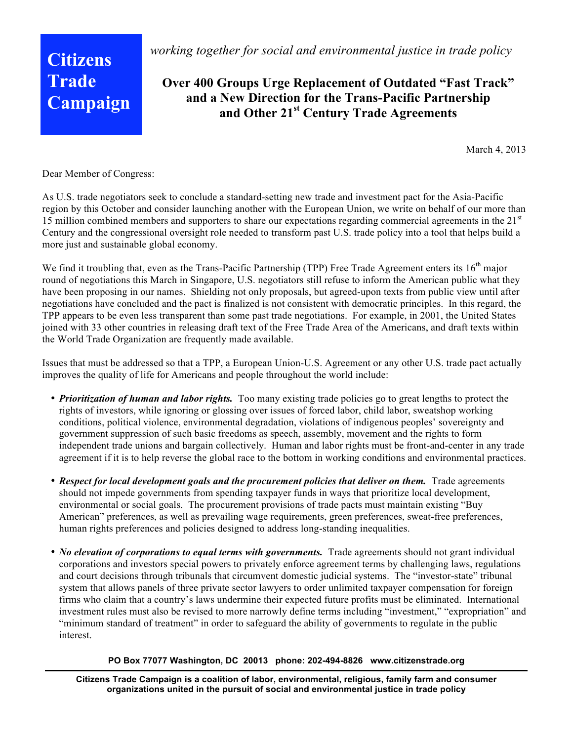**Citizens Trade Campaign** *working together for social and environmental justice in trade policy*

## **Over 400 Groups Urge Replacement of Outdated "Fast Track" and a New Direction for the Trans-Pacific Partnership and Other 21st Century Trade Agreements**

March 4, 2013

Dear Member of Congress:

As U.S. trade negotiators seek to conclude a standard-setting new trade and investment pact for the Asia-Pacific region by this October and consider launching another with the European Union, we write on behalf of our more than 15 million combined members and supporters to share our expectations regarding commercial agreements in the  $21<sup>st</sup>$ Century and the congressional oversight role needed to transform past U.S. trade policy into a tool that helps build a more just and sustainable global economy.

We find it troubling that, even as the Trans-Pacific Partnership (TPP) Free Trade Agreement enters its  $16<sup>th</sup>$  major round of negotiations this March in Singapore, U.S. negotiators still refuse to inform the American public what they have been proposing in our names. Shielding not only proposals, but agreed-upon texts from public view until after negotiations have concluded and the pact is finalized is not consistent with democratic principles. In this regard, the TPP appears to be even less transparent than some past trade negotiations. For example, in 2001, the United States joined with 33 other countries in releasing draft text of the Free Trade Area of the Americans, and draft texts within the World Trade Organization are frequently made available.

Issues that must be addressed so that a TPP, a European Union-U.S. Agreement or any other U.S. trade pact actually improves the quality of life for Americans and people throughout the world include:

- *Prioritization of human and labor rights.* Too many existing trade policies go to great lengths to protect the rights of investors, while ignoring or glossing over issues of forced labor, child labor, sweatshop working conditions, political violence, environmental degradation, violations of indigenous peoples' sovereignty and government suppression of such basic freedoms as speech, assembly, movement and the rights to form independent trade unions and bargain collectively. Human and labor rights must be front-and-center in any trade agreement if it is to help reverse the global race to the bottom in working conditions and environmental practices.
- *Respect for local development goals and the procurement policies that deliver on them.* Trade agreements should not impede governments from spending taxpayer funds in ways that prioritize local development, environmental or social goals. The procurement provisions of trade pacts must maintain existing "Buy American" preferences, as well as prevailing wage requirements, green preferences, sweat-free preferences, human rights preferences and policies designed to address long-standing inequalities.
- *No elevation of corporations to equal terms with governments*. Trade agreements should not grant individual corporations and investors special powers to privately enforce agreement terms by challenging laws, regulations and court decisions through tribunals that circumvent domestic judicial systems. The "investor-state" tribunal system that allows panels of three private sector lawyers to order unlimited taxpayer compensation for foreign firms who claim that a country's laws undermine their expected future profits must be eliminated. International investment rules must also be revised to more narrowly define terms including "investment," "expropriation" and "minimum standard of treatment" in order to safeguard the ability of governments to regulate in the public interest.

## **PO Box 77077 Washington, DC 20013 phone: 202-494-8826 www.citizenstrade.org**

**Citizens Trade Campaign is a coalition of labor, environmental, religious, family farm and consumer organizations united in the pursuit of social and environmental justice in trade policy**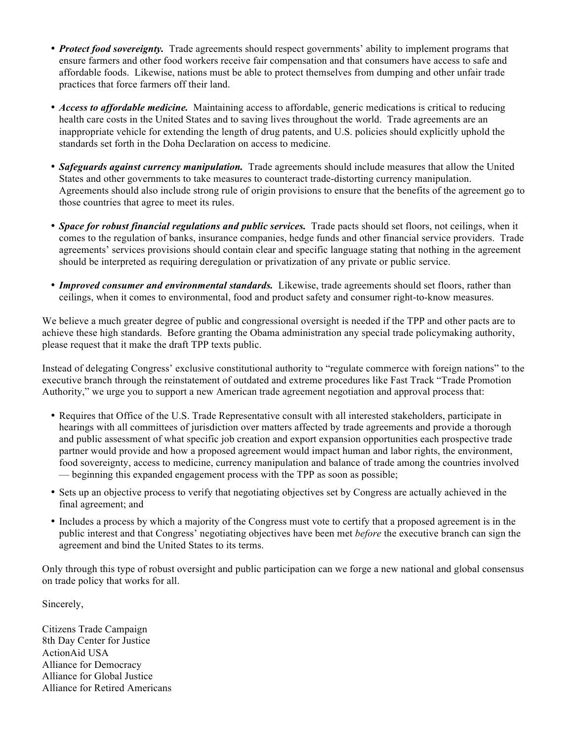- *Protect food sovereignty*. Trade agreements should respect governments' ability to implement programs that ensure farmers and other food workers receive fair compensation and that consumers have access to safe and affordable foods. Likewise, nations must be able to protect themselves from dumping and other unfair trade practices that force farmers off their land.
- *Access to affordable medicine.* Maintaining access to affordable, generic medications is critical to reducing health care costs in the United States and to saving lives throughout the world. Trade agreements are an inappropriate vehicle for extending the length of drug patents, and U.S. policies should explicitly uphold the standards set forth in the Doha Declaration on access to medicine.
- *Safeguards against currency manipulation.* Trade agreements should include measures that allow the United States and other governments to take measures to counteract trade-distorting currency manipulation. Agreements should also include strong rule of origin provisions to ensure that the benefits of the agreement go to those countries that agree to meet its rules.
- *Space for robust financial regulations and public services.* Trade pacts should set floors, not ceilings, when it comes to the regulation of banks, insurance companies, hedge funds and other financial service providers. Trade agreements' services provisions should contain clear and specific language stating that nothing in the agreement should be interpreted as requiring deregulation or privatization of any private or public service.
- *Improved consumer and environmental standards.* Likewise, trade agreements should set floors, rather than ceilings, when it comes to environmental, food and product safety and consumer right-to-know measures.

We believe a much greater degree of public and congressional oversight is needed if the TPP and other pacts are to achieve these high standards. Before granting the Obama administration any special trade policymaking authority, please request that it make the draft TPP texts public.

Instead of delegating Congress' exclusive constitutional authority to "regulate commerce with foreign nations" to the executive branch through the reinstatement of outdated and extreme procedures like Fast Track "Trade Promotion Authority," we urge you to support a new American trade agreement negotiation and approval process that:

- Requires that Office of the U.S. Trade Representative consult with all interested stakeholders, participate in hearings with all committees of jurisdiction over matters affected by trade agreements and provide a thorough and public assessment of what specific job creation and export expansion opportunities each prospective trade partner would provide and how a proposed agreement would impact human and labor rights, the environment, food sovereignty, access to medicine, currency manipulation and balance of trade among the countries involved — beginning this expanded engagement process with the TPP as soon as possible;
- Sets up an objective process to verify that negotiating objectives set by Congress are actually achieved in the final agreement; and
- Includes a process by which a majority of the Congress must vote to certify that a proposed agreement is in the public interest and that Congress' negotiating objectives have been met *before* the executive branch can sign the agreement and bind the United States to its terms.

Only through this type of robust oversight and public participation can we forge a new national and global consensus on trade policy that works for all.

Sincerely,

Citizens Trade Campaign 8th Day Center for Justice ActionAid USA Alliance for Democracy Alliance for Global Justice Alliance for Retired Americans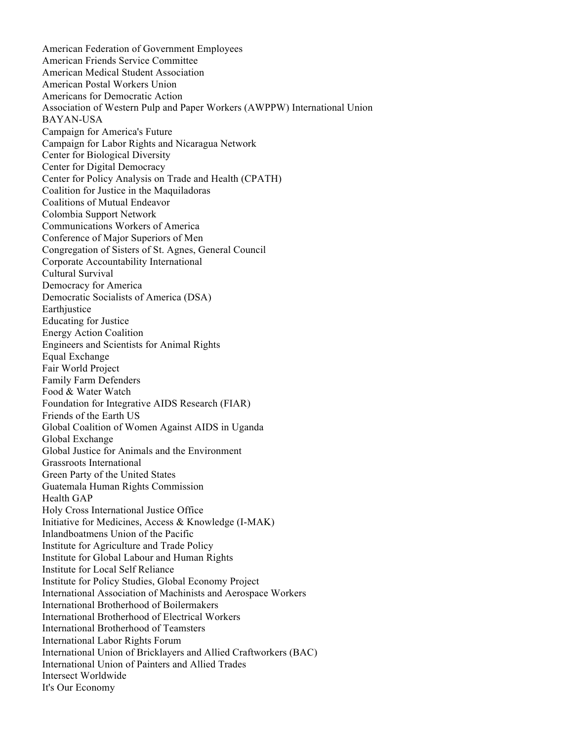American Federation of Government Employees American Friends Service Committee American Medical Student Association American Postal Workers Union Americans for Democratic Action Association of Western Pulp and Paper Workers (AWPPW) International Union BAYAN-USA Campaign for America's Future Campaign for Labor Rights and Nicaragua Network Center for Biological Diversity Center for Digital Democracy Center for Policy Analysis on Trade and Health (CPATH) Coalition for Justice in the Maquiladoras Coalitions of Mutual Endeavor Colombia Support Network Communications Workers of America Conference of Major Superiors of Men Congregation of Sisters of St. Agnes, General Council Corporate Accountability International Cultural Survival Democracy for America Democratic Socialists of America (DSA) Earthjustice Educating for Justice Energy Action Coalition Engineers and Scientists for Animal Rights Equal Exchange Fair World Project Family Farm Defenders Food & Water Watch Foundation for Integrative AIDS Research (FIAR) Friends of the Earth US Global Coalition of Women Against AIDS in Uganda Global Exchange Global Justice for Animals and the Environment Grassroots International Green Party of the United States Guatemala Human Rights Commission Health GAP Holy Cross International Justice Office Initiative for Medicines, Access & Knowledge (I-MAK) Inlandboatmens Union of the Pacific Institute for Agriculture and Trade Policy Institute for Global Labour and Human Rights Institute for Local Self Reliance Institute for Policy Studies, Global Economy Project International Association of Machinists and Aerospace Workers International Brotherhood of Boilermakers International Brotherhood of Electrical Workers International Brotherhood of Teamsters International Labor Rights Forum International Union of Bricklayers and Allied Craftworkers (BAC) International Union of Painters and Allied Trades Intersect Worldwide It's Our Economy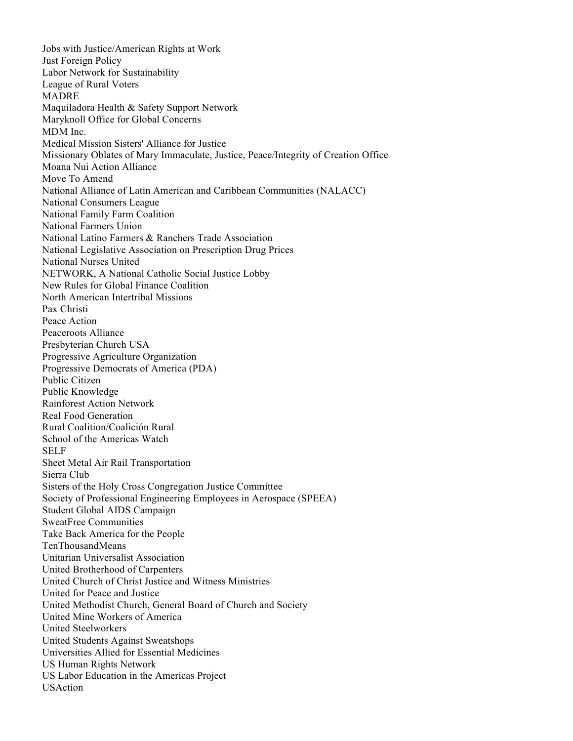Jobs with Justice/American Rights at Work Just Foreign Policy Labor Network for Sustainability League of Rural Voters MADRE Maquiladora Health & Safety Support Network Maryknoll Office for Global Concerns MDM Inc. Medical Mission Sisters' Alliance for Justice Missionary Oblates of Mary Immaculate, Justice, Peace/Integrity of Creation Office Moana Nui Action Alliance Move To Amend National Alliance of Latin American and Caribbean Communities (NALACC) National Consumers League National Family Farm Coalition National Farmers Union National Latino Farmers & Ranchers Trade Association National Legislative Association on Prescription Drug Prices National Nurses United NETWORK, A National Catholic Social Justice Lobby New Rules for Global Finance Coalition North American Intertribal Missions Pax Christi Peace Action Peaceroots Alliance Presbyterian Church USA Progressive Agriculture Organization Progressive Democrats of America (PDA) Public Citizen Public Knowledge Rainforest Action Network Real Food Generation Rural Coalition/Coalición Rural School of the Americas Watch SELF Sheet Metal Air Rail Transportation Sierra Club Sisters of the Holy Cross Congregation Justice Committee Society of Professional Engineering Employees in Aerospace (SPEEA) Student Global AIDS Campaign SweatFree Communities Take Back America for the People TenThousandMeans Unitarian Universalist Association United Brotherhood of Carpenters United Church of Christ Justice and Witness Ministries United for Peace and Justice United Methodist Church, General Board of Church and Society United Mine Workers of America United Steelworkers United Students Against Sweatshops Universities Allied for Essential Medicines US Human Rights Network US Labor Education in the Americas Project **USAction**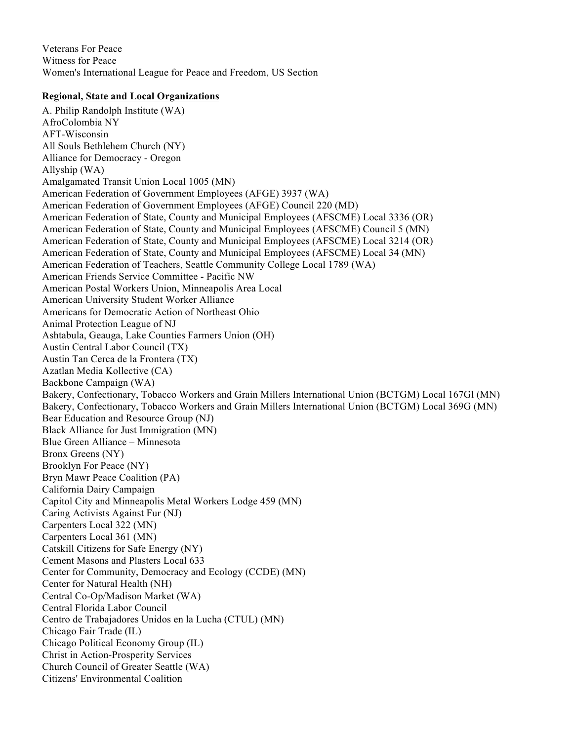Veterans For Peace Witness for Peace Women's International League for Peace and Freedom, US Section

## **Regional, State and Local Organizations**

A. Philip Randolph Institute (WA) AfroColombia NY AFT-Wisconsin All Souls Bethlehem Church (NY) Alliance for Democracy - Oregon Allyship (WA) Amalgamated Transit Union Local 1005 (MN) American Federation of Government Employees (AFGE) 3937 (WA) American Federation of Government Employees (AFGE) Council 220 (MD) American Federation of State, County and Municipal Employees (AFSCME) Local 3336 (OR) American Federation of State, County and Municipal Employees (AFSCME) Council 5 (MN) American Federation of State, County and Municipal Employees (AFSCME) Local 3214 (OR) American Federation of State, County and Municipal Employees (AFSCME) Local 34 (MN) American Federation of Teachers, Seattle Community College Local 1789 (WA) American Friends Service Committee - Pacific NW American Postal Workers Union, Minneapolis Area Local American University Student Worker Alliance Americans for Democratic Action of Northeast Ohio Animal Protection League of NJ Ashtabula, Geauga, Lake Counties Farmers Union (OH) Austin Central Labor Council (TX) Austin Tan Cerca de la Frontera (TX) Azatlan Media Kollective (CA) Backbone Campaign (WA) Bakery, Confectionary, Tobacco Workers and Grain Millers International Union (BCTGM) Local 167Gl (MN) Bakery, Confectionary, Tobacco Workers and Grain Millers International Union (BCTGM) Local 369G (MN) Bear Education and Resource Group (NJ) Black Alliance for Just Immigration (MN) Blue Green Alliance – Minnesota Bronx Greens (NY) Brooklyn For Peace (NY) Bryn Mawr Peace Coalition (PA) California Dairy Campaign Capitol City and Minneapolis Metal Workers Lodge 459 (MN) Caring Activists Against Fur (NJ) Carpenters Local 322 (MN) Carpenters Local 361 (MN) Catskill Citizens for Safe Energy (NY) Cement Masons and Plasters Local 633 Center for Community, Democracy and Ecology (CCDE) (MN) Center for Natural Health (NH) Central Co-Op/Madison Market (WA) Central Florida Labor Council Centro de Trabajadores Unidos en la Lucha (CTUL) (MN) Chicago Fair Trade (IL) Chicago Political Economy Group (IL) Christ in Action-Prosperity Services Church Council of Greater Seattle (WA) Citizens' Environmental Coalition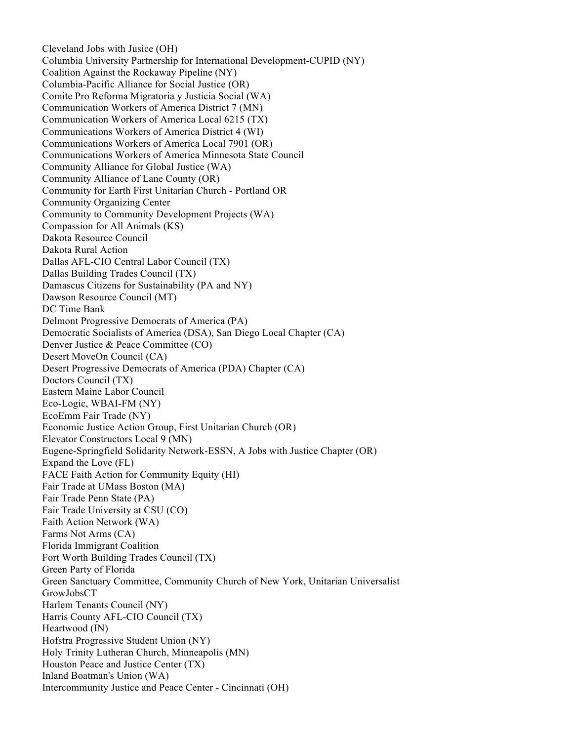Cleveland Jobs with Jusice (OH) Columbia University Partnership for International Development-CUPID (NY) Coalition Against the Rockaway Pipeline (NY) Columbia-Pacific Alliance for Social Justice (OR) Comite Pro Reforma Migratoria y Justicia Social (WA) Communication Workers of America District 7 (MN) Communication Workers of America Local 6215 (TX) Communications Workers of America District 4 (WI) Communications Workers of America Local 7901 (OR) Communications Workers of America Minnesota State Council Community Alliance for Global Justice (WA) Community Alliance of Lane County (OR) Community for Earth First Unitarian Church - Portland OR Community Organizing Center Community to Community Development Projects (WA) Compassion for All Animals (KS) Dakota Resource Council Dakota Rural Action Dallas AFL-CIO Central Labor Council (TX) Dallas Building Trades Council (TX) Damascus Citizens for Sustainability (PA and NY) Dawson Resource Council (MT) DC Time Bank Delmont Progressive Democrats of America (PA) Democratic Socialists of America (DSA), San Diego Local Chapter (CA) Denver Justice & Peace Committee (CO) Desert MoveOn Council (CA) Desert Progressive Democrats of America (PDA) Chapter (CA) Doctors Council (TX) Eastern Maine Labor Council Eco-Logic, WBAI-FM (NY) EcoEmm Fair Trade (NY) Economic Justice Action Group, First Unitarian Church (OR) Elevator Constructors Local 9 (MN) Eugene-Springfield Solidarity Network-ESSN, A Jobs with Justice Chapter (OR) Expand the Love (FL) FACE Faith Action for Community Equity (HI) Fair Trade at UMass Boston (MA) Fair Trade Penn State (PA) Fair Trade University at CSU (CO) Faith Action Network (WA) Farms Not Arms (CA) Florida Immigrant Coalition Fort Worth Building Trades Council (TX) Green Party of Florida Green Sanctuary Committee, Community Church of New York, Unitarian Universalist GrowJobsCT Harlem Tenants Council (NY) Harris County AFL-CIO Council (TX) Heartwood (IN) Hofstra Progressive Student Union (NY) Holy Trinity Lutheran Church, Minneapolis (MN) Houston Peace and Justice Center (TX) Inland Boatman's Union (WA) Intercommunity Justice and Peace Center - Cincinnati (OH)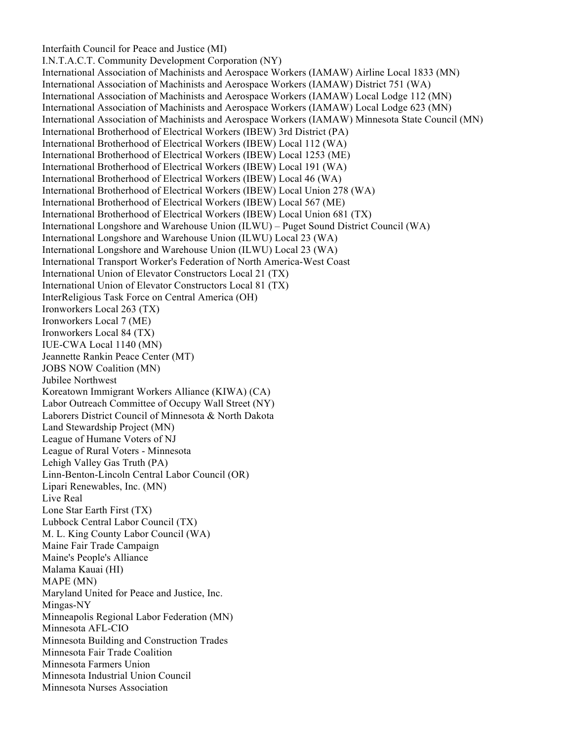Interfaith Council for Peace and Justice (MI)

I.N.T.A.C.T. Community Development Corporation (NY) International Association of Machinists and Aerospace Workers (IAMAW) Airline Local 1833 (MN) International Association of Machinists and Aerospace Workers (IAMAW) District 751 (WA) International Association of Machinists and Aerospace Workers (IAMAW) Local Lodge 112 (MN) International Association of Machinists and Aerospace Workers (IAMAW) Local Lodge 623 (MN) International Association of Machinists and Aerospace Workers (IAMAW) Minnesota State Council (MN) International Brotherhood of Electrical Workers (IBEW) 3rd District (PA) International Brotherhood of Electrical Workers (IBEW) Local 112 (WA) International Brotherhood of Electrical Workers (IBEW) Local 1253 (ME) International Brotherhood of Electrical Workers (IBEW) Local 191 (WA) International Brotherhood of Electrical Workers (IBEW) Local 46 (WA) International Brotherhood of Electrical Workers (IBEW) Local Union 278 (WA) International Brotherhood of Electrical Workers (IBEW) Local 567 (ME) International Brotherhood of Electrical Workers (IBEW) Local Union 681 (TX) International Longshore and Warehouse Union (ILWU) – Puget Sound District Council (WA) International Longshore and Warehouse Union (ILWU) Local 23 (WA) International Longshore and Warehouse Union (ILWU) Local 23 (WA) International Transport Worker's Federation of North America-West Coast International Union of Elevator Constructors Local 21 (TX) International Union of Elevator Constructors Local 81 (TX) InterReligious Task Force on Central America (OH) Ironworkers Local 263 (TX) Ironworkers Local 7 (ME) Ironworkers Local 84 (TX) IUE-CWA Local 1140 (MN) Jeannette Rankin Peace Center (MT) JOBS NOW Coalition (MN) Jubilee Northwest Koreatown Immigrant Workers Alliance (KIWA) (CA) Labor Outreach Committee of Occupy Wall Street (NY) Laborers District Council of Minnesota & North Dakota Land Stewardship Project (MN) League of Humane Voters of NJ League of Rural Voters - Minnesota Lehigh Valley Gas Truth (PA) Linn-Benton-Lincoln Central Labor Council (OR) Lipari Renewables, Inc. (MN) Live Real Lone Star Earth First (TX) Lubbock Central Labor Council (TX) M. L. King County Labor Council (WA) Maine Fair Trade Campaign Maine's People's Alliance Malama Kauai (HI) MAPE (MN) Maryland United for Peace and Justice, Inc. Mingas-NY Minneapolis Regional Labor Federation (MN) Minnesota AFL-CIO Minnesota Building and Construction Trades Minnesota Fair Trade Coalition Minnesota Farmers Union Minnesota Industrial Union Council Minnesota Nurses Association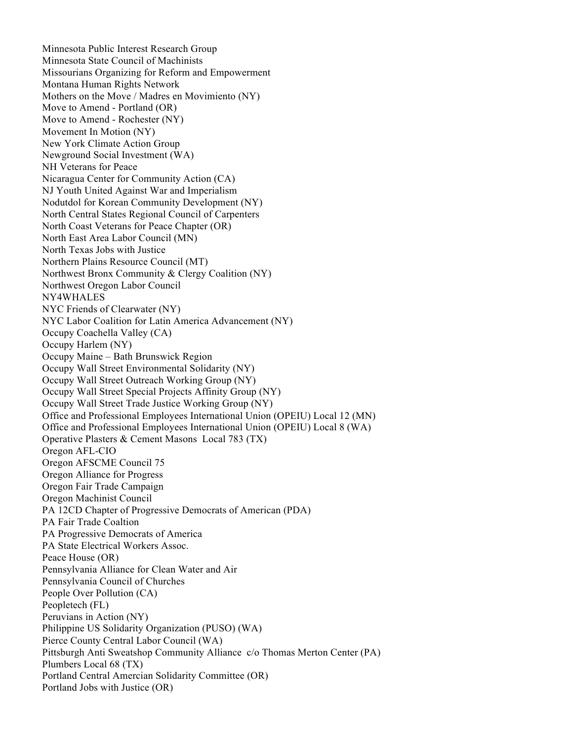Minnesota Public Interest Research Group Minnesota State Council of Machinists Missourians Organizing for Reform and Empowerment Montana Human Rights Network Mothers on the Move / Madres en Movimiento (NY) Move to Amend - Portland (OR) Move to Amend - Rochester (NY) Movement In Motion (NY) New York Climate Action Group Newground Social Investment (WA) NH Veterans for Peace Nicaragua Center for Community Action (CA) NJ Youth United Against War and Imperialism Nodutdol for Korean Community Development (NY) North Central States Regional Council of Carpenters North Coast Veterans for Peace Chapter (OR) North East Area Labor Council (MN) North Texas Jobs with Justice Northern Plains Resource Council (MT) Northwest Bronx Community & Clergy Coalition (NY) Northwest Oregon Labor Council NY4WHALES NYC Friends of Clearwater (NY) NYC Labor Coalition for Latin America Advancement (NY) Occupy Coachella Valley (CA) Occupy Harlem (NY) Occupy Maine – Bath Brunswick Region Occupy Wall Street Environmental Solidarity (NY) Occupy Wall Street Outreach Working Group (NY) Occupy Wall Street Special Projects Affinity Group (NY) Occupy Wall Street Trade Justice Working Group (NY) Office and Professional Employees International Union (OPEIU) Local 12 (MN) Office and Professional Employees International Union (OPEIU) Local 8 (WA) Operative Plasters & Cement Masons Local 783 (TX) Oregon AFL-CIO Oregon AFSCME Council 75 Oregon Alliance for Progress Oregon Fair Trade Campaign Oregon Machinist Council PA 12CD Chapter of Progressive Democrats of American (PDA) PA Fair Trade Coaltion PA Progressive Democrats of America PA State Electrical Workers Assoc. Peace House (OR) Pennsylvania Alliance for Clean Water and Air Pennsylvania Council of Churches People Over Pollution (CA) Peopletech (FL) Peruvians in Action (NY) Philippine US Solidarity Organization (PUSO) (WA) Pierce County Central Labor Council (WA) Pittsburgh Anti Sweatshop Community Alliance c/o Thomas Merton Center (PA) Plumbers Local 68 (TX) Portland Central Amercian Solidarity Committee (OR) Portland Jobs with Justice (OR)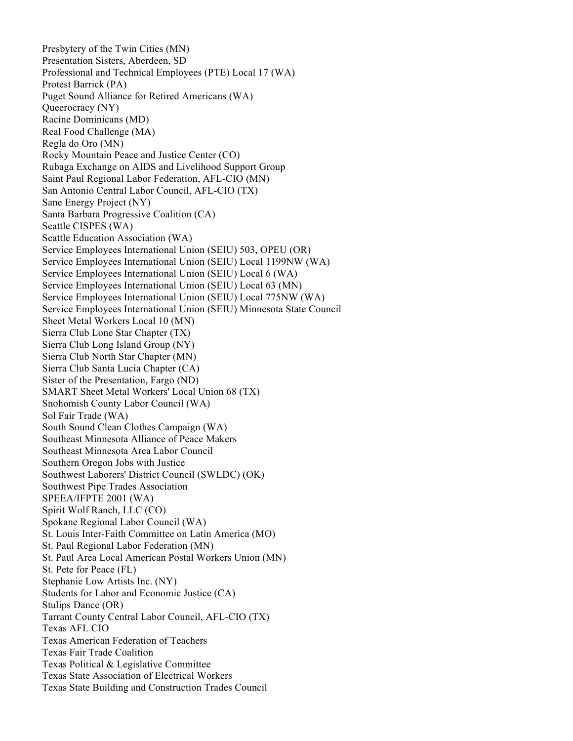Presbytery of the Twin Cities (MN) Presentation Sisters, Aberdeen, SD Professional and Technical Employees (PTE) Local 17 (WA) Protest Barrick (PA) Puget Sound Alliance for Retired Americans (WA) Queerocracy (NY) Racine Dominicans (MD) Real Food Challenge (MA) Regla do Oro (MN) Rocky Mountain Peace and Justice Center (CO) Rubaga Exchange on AIDS and Livelihood Support Group Saint Paul Regional Labor Federation, AFL-CIO (MN) San Antonio Central Labor Council, AFL-CIO (TX) Sane Energy Project (NY) Santa Barbara Progressive Coalition (CA) Seattle CISPES (WA) Seattle Education Association (WA) Service Employees International Union (SEIU) 503, OPEU (OR) Service Employees International Union (SEIU) Local 1199NW (WA) Service Employees International Union (SEIU) Local 6 (WA) Service Employees International Union (SEIU) Local 63 (MN) Service Employees International Union (SEIU) Local 775NW (WA) Service Employees International Union (SEIU) Minnesota State Council Sheet Metal Workers Local 10 (MN) Sierra Club Lone Star Chapter (TX) Sierra Club Long Island Group (NY) Sierra Club North Star Chapter (MN) Sierra Club Santa Lucia Chapter (CA) Sister of the Presentation, Fargo (ND) SMART Sheet Metal Workers' Local Union 68 (TX) Snohomish County Labor Council (WA) Sol Fair Trade (WA) South Sound Clean Clothes Campaign (WA) Southeast Minnesota Alliance of Peace Makers Southeast Minnesota Area Labor Council Southern Oregon Jobs with Justice Southwest Laborers' District Council (SWLDC) (OK) Southwest Pipe Trades Association SPEEA/IFPTE 2001 (WA) Spirit Wolf Ranch, LLC (CO) Spokane Regional Labor Council (WA) St. Louis Inter-Faith Committee on Latin America (MO) St. Paul Regional Labor Federation (MN) St. Paul Area Local American Postal Workers Union (MN) St. Pete for Peace (FL) Stephanie Low Artists Inc. (NY) Students for Labor and Economic Justice (CA) Stulips Dance (OR) Tarrant County Central Labor Council, AFL-CIO (TX) Texas AFL CIO Texas American Federation of Teachers Texas Fair Trade Coalition Texas Political & Legislative Committee Texas State Association of Electrical Workers Texas State Building and Construction Trades Council